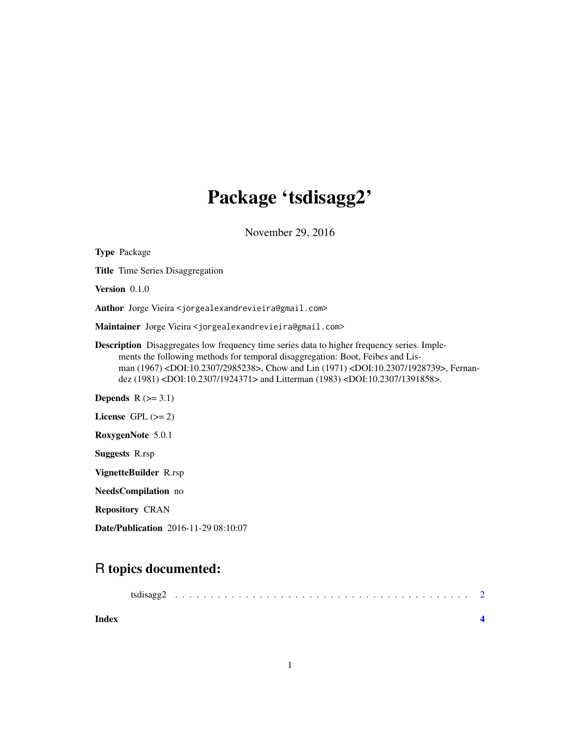## Package 'tsdisagg2'

November 29, 2016

Type Package Title Time Series Disaggregation Version 0.1.0 Author Jorge Vieira <jorgealexandrevieira@gmail.com> Maintainer Jorge Vieira <jorgealexandrevieira@gmail.com> Description Disaggregates low frequency time series data to higher frequency series. Implements the following methods for temporal disaggregation: Boot, Feibes and Lisman (1967) <DOI:10.2307/2985238>, Chow and Lin (1971) <DOI:10.2307/1928739>, Fernandez (1981) <DOI:10.2307/1924371> and Litterman (1983) <DOI:10.2307/1391858>. Depends  $R$  ( $>= 3.1$ ) License GPL  $(>= 2)$ RoxygenNote 5.0.1 Suggests R.rsp VignetteBuilder R.rsp NeedsCompilation no Repository CRAN

Date/Publication 2016-11-29 08:10:07

### R topics documented:

| Index |  |  |  |  |  |  |  |  |  |  |  |  |  |  |  |  |  |
|-------|--|--|--|--|--|--|--|--|--|--|--|--|--|--|--|--|--|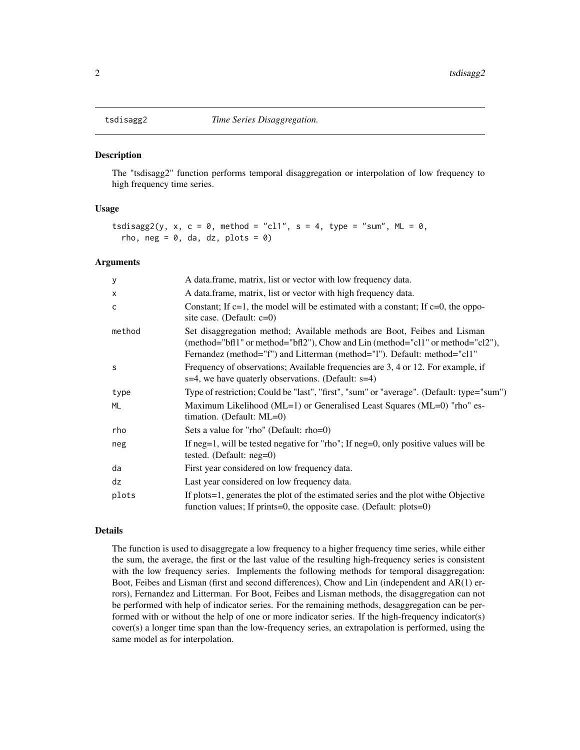<span id="page-1-0"></span>

#### Description

The "tsdisagg2" function performs temporal disaggregation or interpolation of low frequency to high frequency time series.

#### Usage

```
tsdisagg2(y, x, c = 0, method = "cl1", s = 4, type = "sum", ML = 0,
  rho, neg = 0, da, dz, plots = 0)
```
#### Arguments

| у      | A data frame, matrix, list or vector with low frequency data.                                                                                                                                                                          |
|--------|----------------------------------------------------------------------------------------------------------------------------------------------------------------------------------------------------------------------------------------|
| x      | A data frame, matrix, list or vector with high frequency data.                                                                                                                                                                         |
| C      | Constant; If $c=1$ , the model will be estimated with a constant; If $c=0$ , the oppo-<br>site case. (Default: $c=0$ )                                                                                                                 |
| method | Set disaggregation method; Available methods are Boot, Feibes and Lisman<br>(method="bfl1" or method="bfl2"), Chow and Lin (method="cl1" or method="cl2"),<br>Fernandez (method="f") and Litterman (method="l"). Default: method="cl1" |
| S      | Frequency of observations; Available frequencies are 3, 4 or 12. For example, if<br>s=4, we have quaterly observations. (Default: s=4)                                                                                                 |
| type   | Type of restriction; Could be "last", "first", "sum" or "average". (Default: type="sum")                                                                                                                                               |
| ML     | Maximum Likelihood (ML=1) or Generalised Least Squares (ML=0) "rho" es-<br>timation. (Default: ML=0)                                                                                                                                   |
| rho    | Sets a value for "rho" (Default: rho=0)                                                                                                                                                                                                |
| neg    | If $neg=1$ , will be tested negative for "rho"; If $neg=0$ , only positive values will be<br>tested. (Default: $neg=0$ )                                                                                                               |
| da     | First year considered on low frequency data.                                                                                                                                                                                           |
| dz     | Last year considered on low frequency data.                                                                                                                                                                                            |
| plots  | If plots = 1, generates the plot of the estimated series and the plot withe Objective<br>function values; If prints=0, the opposite case. (Default: plots=0)                                                                           |

#### Details

The function is used to disaggregate a low frequency to a higher frequency time series, while either the sum, the average, the first or the last value of the resulting high-frequency series is consistent with the low frequency series. Implements the following methods for temporal disaggregation: Boot, Feibes and Lisman (first and second differences), Chow and Lin (independent and AR(1) errors), Fernandez and Litterman. For Boot, Feibes and Lisman methods, the disaggregation can not be performed with help of indicator series. For the remaining methods, desaggregation can be performed with or without the help of one or more indicator series. If the high-frequency indicator(s) cover(s) a longer time span than the low-frequency series, an extrapolation is performed, using the same model as for interpolation.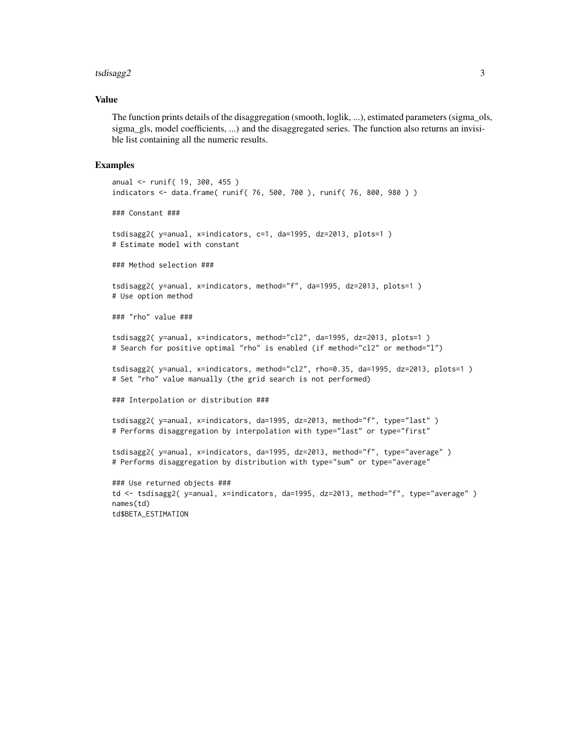#### tsdisagg2 3

#### Value

The function prints details of the disaggregation (smooth, loglik, ...), estimated parameters (sigma\_ols, sigma\_gls, model coefficients, ...) and the disaggregated series. The function also returns an invisible list containing all the numeric results.

#### Examples

```
anual <- runif( 19, 300, 455 )
indicators <- data.frame( runif( 76, 500, 700 ), runif( 76, 800, 980 ) )
### Constant ###
tsdisagg2( y=anual, x=indicators, c=1, da=1995, dz=2013, plots=1 )
# Estimate model with constant
### Method selection ###
tsdisagg2( y=anual, x=indicators, method="f", da=1995, dz=2013, plots=1 )
# Use option method
### "rho" value ###
tsdisagg2( y=anual, x=indicators, method="cl2", da=1995, dz=2013, plots=1 )
# Search for positive optimal "rho" is enabled (if method="cl2" or method="l")
tsdisagg2( y=anual, x=indicators, method="cl2", rho=0.35, da=1995, dz=2013, plots=1 )
# Set "rho" value manually (the grid search is not performed)
### Interpolation or distribution ###
tsdisagg2( y=anual, x=indicators, da=1995, dz=2013, method="f", type="last" )
# Performs disaggregation by interpolation with type="last" or type="first"
tsdisagg2( y=anual, x=indicators, da=1995, dz=2013, method="f", type="average" )
# Performs disaggregation by distribution with type="sum" or type="average"
### Use returned objects ###
td <- tsdisagg2( y=anual, x=indicators, da=1995, dz=2013, method="f", type="average" )
names(td)
td$BETA_ESTIMATION
```